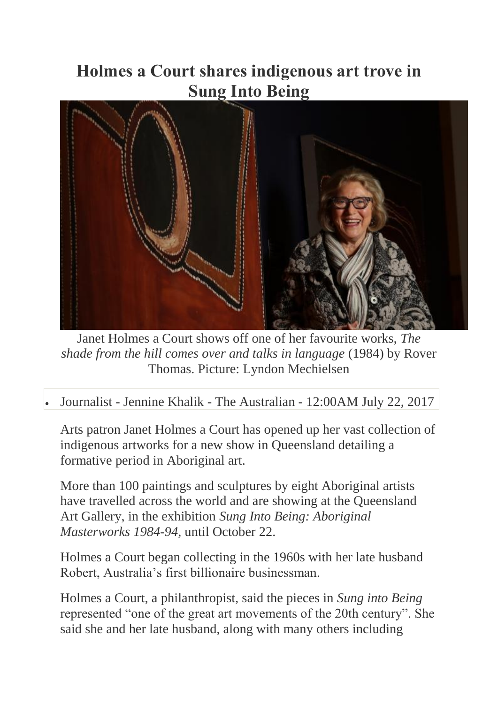## **Holmes a Court shares indigenous art trove in Sung Into Being**



Janet Holmes a Court shows off one of her favourite works, *The shade from the hill comes over and talks in language* (1984) by Rover Thomas. Picture: Lyndon Mechielsen

## • Journalist - [Jennine Khalik](http://www.theaustralian.com.au/author/Jennine+Khalik) - The Australian - 12:00AM July 22, 2017

Arts patron Janet Holmes a Court has opened up her vast collection of indigenous artworks for a new show in Queensland detailing a formative period in Aboriginal art.

More than 100 paintings and sculptures by eight Aboriginal artists have travelled across the world and are showing at the Queensland Art Gallery, in the exhibition *Sung Into Being: Aboriginal Masterworks 1984-94*, until October 22.

Holmes a Court began collecting in the 1960s with her late husband Robert, Australia's first billionaire businessman.

Holmes a Court, a philanthropist, said the pieces in *Sung into Being* represented "one of the great art movements of the 20th century". She said she and her late husband, along with many others including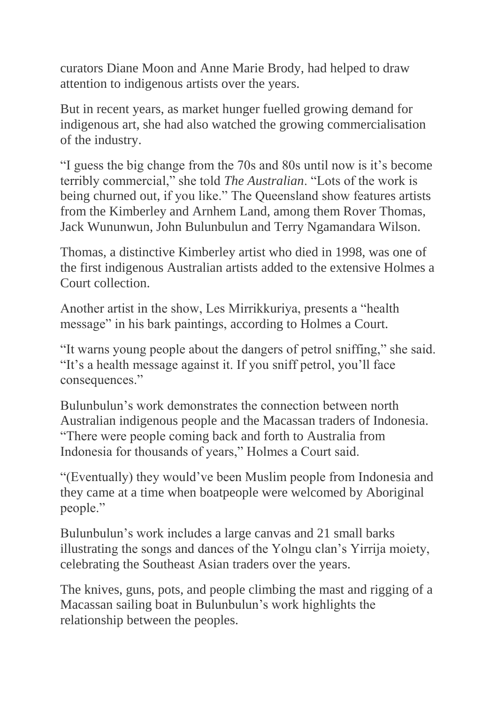curators Diane Moon and Anne Marie Brody, had helped to draw attention to indigenous artists over the years.

But in recent years, as market hunger fuelled growing demand for indigenous art, she had also watched the growing commercialisation of the industry.

"I guess the big change from the 70s and 80s until now is it's become terribly commercial," she told *The Australian*. "Lots of the work is being churned out, if you like." The Queensland show features artists from the Kimberley and Arnhem Land, among them Rover Thomas, Jack Wununwun, John Bulunbulun and Terry Ngamandara Wilson.

Thomas, a distinctive Kimberley artist who died in 1998, was one of the first indigenous Australian artists added to the extensive Holmes a Court collection.

Another artist in the show, Les Mirrikkuriya, presents a "health message" in his bark paintings, according to Holmes a Court.

"It warns young people about the dangers of petrol sniffing," she said. "It's a health message against it. If you sniff petrol, you'll face consequences."

Bulunbulun's work demonstrates the connection between north Australian indigenous people and the Macassan traders of Indonesia. "There were people coming back and forth to Australia from Indonesia for thousands of years," Holmes a Court said.

"(Eventually) they would've been Muslim people from Indonesia and they came at a time when boatpeople were welcomed by Aboriginal people."

Bulunbulun's work includes a large canvas and 21 small barks illustrating the songs and dances of the Yolngu clan's Yirrija moiety, celebrating the Southeast Asian traders over the years.

The knives, guns, pots, and people climbing the mast and rigging of a Macassan sailing boat in Bulunbulun's work highlights the relationship between the peoples.